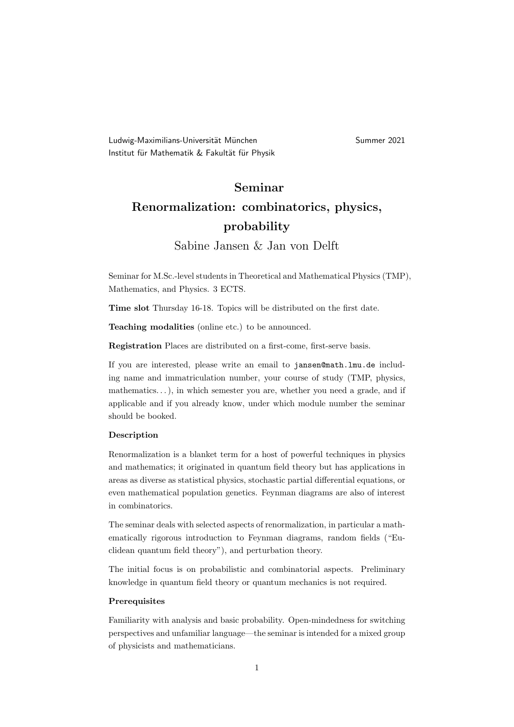Ludwig-Maximilians-Universität München Summer 2021 Institut für Mathematik & Fakultät für Physik

# Seminar

## Renormalization: combinatorics, physics, probability

### Sabine Jansen & Jan von Delft

Seminar for M.Sc.-level students in Theoretical and Mathematical Physics (TMP), Mathematics, and Physics. 3 ECTS.

Time slot Thursday 16-18. Topics will be distributed on the first date.

Teaching modalities (online etc.) to be announced.

Registration Places are distributed on a first-come, first-serve basis.

If you are interested, please write an email to jansen@math.lmu.de including name and immatriculation number, your course of study (TMP, physics, mathematics...), in which semester you are, whether you need a grade, and if applicable and if you already know, under which module number the seminar should be booked.

#### Description

Renormalization is a blanket term for a host of powerful techniques in physics and mathematics; it originated in quantum field theory but has applications in areas as diverse as statistical physics, stochastic partial differential equations, or even mathematical population genetics. Feynman diagrams are also of interest in combinatorics.

The seminar deals with selected aspects of renormalization, in particular a mathematically rigorous introduction to Feynman diagrams, random fields ("Euclidean quantum field theory"), and perturbation theory.

The initial focus is on probabilistic and combinatorial aspects. Preliminary knowledge in quantum field theory or quantum mechanics is not required.

#### Prerequisites

Familiarity with analysis and basic probability. Open-mindedness for switching perspectives and unfamiliar language—the seminar is intended for a mixed group of physicists and mathematicians.